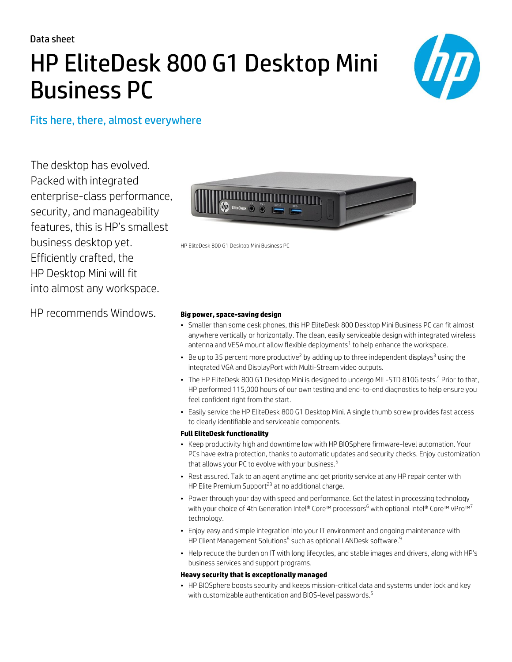Data sheet

# HP EliteDesk 800 G1 Desktop Mini Business PC



Fits here, there, almost everywhere

The desktop has evolved. Packed with integrated enterprise-class performance, security, and manageability features, this is HP's smallest business desktop yet. Efficiently crafted, the HP Desktop Mini will fit into almost any workspace.

HP recommends Windows. **Big power, space-saving design**



HP EliteDesk 800 G1 Desktop Mini Business PC

- Smaller than some desk phones, this HP EliteDesk 800 Desktop Mini Business PC can fit almost anywhere vertically or horizontally. The clean, easily serviceable design with integrated wireless antenna and VESA mount allow flexible deployments $^1$  to help enhance the workspace.
- Be up to 35 percent more productive<sup>2</sup> by adding up to three independent displays<sup>3</sup> using the integrated VGA and DisplayPort with Multi-Stream video outputs.
- The HP EliteDesk 800 G1 Desktop Mini is designed to undergo MIL-STD 810G tests.<sup>4</sup> Prior to that, HP performed 115,000 hours of our own testing and end-to-end diagnostics to help ensure you feel confident right from the start.
- Easily service the HP EliteDesk 800 G1 Desktop Mini. A single thumb screw provides fast access to clearly identifiable and serviceable components.

#### **Full EliteDesk functionality**

- Keep productivity high and downtime low with HP BIOSphere firmware-level automation. Your PCs have extra protection, thanks to automatic updates and security checks. Enjoy customization that allows your PC to evolve with your business.<sup>5</sup>
- Rest assured. Talk to an agent anytime and get priority service at any HP repair center with HP Elite Premium Support<sup>23</sup> at no additional charge.
- Power through your day with speed and performance. Get the latest in processing technology with your choice of 4th Generation Intel® Core™ processors<sup>6</sup> with optional Intel® Core™ vPro™<sup>7</sup> technology.
- Enjoy easy and simple integration into your IT environment and ongoing maintenance with HP Client Management Solutions $^8$  such as optional LANDesk software. $^9$
- Help reduce the burden on IT with long lifecycles, and stable images and drivers, along with HP's business services and support programs.

#### **Heavy security that is exceptionally managed**

• HP BIOSphere boosts security and keeps mission-critical data and systems under lock and key with customizable authentication and BIOS-level passwords.<sup>5</sup>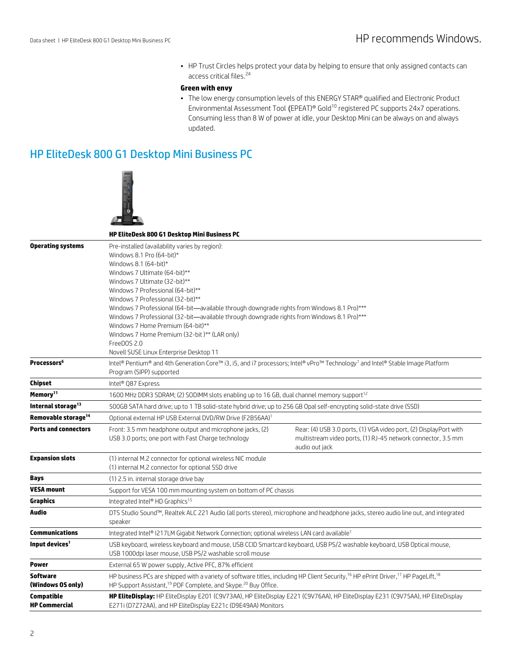• HP Trust Circles helps protect your data by helping to ensure that only assigned contacts can access critical files.<sup>24</sup>

#### **Green with envy**

• The low energy consumption levels of this ENERGY STAR® qualified and Electronic Product Environmental Assessment Tool (EPEAT)® Gold<sup>10</sup> registered PC supports 24x7 operations. Consuming less than 8 W of power at idle, your Desktop Mini can be always on and always updated.

# HP EliteDesk 800 G1 Desktop Mini Business PC



|                                      | <b>HP EliteDesk 800 G1 Desktop Mini Business PC</b>                                                                                                                                                                                                                                                                                                                                                                                                                                                                                                                                         |                                                                                                                                                     |
|--------------------------------------|---------------------------------------------------------------------------------------------------------------------------------------------------------------------------------------------------------------------------------------------------------------------------------------------------------------------------------------------------------------------------------------------------------------------------------------------------------------------------------------------------------------------------------------------------------------------------------------------|-----------------------------------------------------------------------------------------------------------------------------------------------------|
|                                      |                                                                                                                                                                                                                                                                                                                                                                                                                                                                                                                                                                                             |                                                                                                                                                     |
| <b>Operating systems</b>             | Pre-installed (availability varies by region):<br>Windows 8.1 Pro (64-bit)*<br>Windows 8.1 (64-bit)*<br>Windows 7 Ultimate (64-bit)**<br>Windows 7 Ultimate (32-bit)**<br>Windows 7 Professional (64-bit)**<br>Windows 7 Professional (32-bit)**<br>Windows 7 Professional (64-bit-available through downgrade rights from Windows 8.1 Pro)***<br>Windows 7 Professional (32-bit—available through downgrade rights from Windows 8.1 Pro)***<br>Windows 7 Home Premium (64-bit)**<br>Windows 7 Home Premium (32-bit)** (LAR only)<br>FreeDOS 2.0<br>Novell SUSE Linux Enterprise Desktop 11 |                                                                                                                                                     |
| <b>Processors</b> <sup>6</sup>       | Intel® Pentium® and 4th Generation Core™ i3, i5, and i7 processors; Intel® vPro™ Technology7 and Intel® Stable Image Platform<br>Program (SIPP) supported                                                                                                                                                                                                                                                                                                                                                                                                                                   |                                                                                                                                                     |
| Chipset                              | Intel® Q87 Express                                                                                                                                                                                                                                                                                                                                                                                                                                                                                                                                                                          |                                                                                                                                                     |
| Memory <sup>11</sup>                 | 1600 MHz DDR3 SDRAM; (2) SODIMM slots enabling up to 16 GB, dual channel memory support <sup>12</sup>                                                                                                                                                                                                                                                                                                                                                                                                                                                                                       |                                                                                                                                                     |
| Internal storage <sup>13</sup>       | 500GB SATA hard drive; up to 1 TB solid-state hybrid drive; up to 256 GB Opal self-encrypting solid-state drive (SSD)                                                                                                                                                                                                                                                                                                                                                                                                                                                                       |                                                                                                                                                     |
| Removable storage <sup>14</sup>      | Optional external HP USB External DVD/RW Drive (F2B56AA) <sup>1</sup>                                                                                                                                                                                                                                                                                                                                                                                                                                                                                                                       |                                                                                                                                                     |
| <b>Ports and connectors</b>          | Front: 3.5 mm headphone output and microphone jacks, (2)<br>USB 3.0 ports; one port with Fast Charge technology                                                                                                                                                                                                                                                                                                                                                                                                                                                                             | Rear: (4) USB 3.0 ports, (1) VGA video port, (2) DisplayPort with<br>multistream video ports, (1) RJ-45 network connector, 3.5 mm<br>audio out jack |
| <b>Expansion slots</b>               | (1) internal M.2 connector for optional wireless NIC module<br>(1) internal M.2 connector for optional SSD drive                                                                                                                                                                                                                                                                                                                                                                                                                                                                            |                                                                                                                                                     |
| Bays                                 | (1) 2.5 in. internal storage drive bay                                                                                                                                                                                                                                                                                                                                                                                                                                                                                                                                                      |                                                                                                                                                     |
| <b>VESA mount</b>                    | Support for VESA 100 mm mounting system on bottom of PC chassis                                                                                                                                                                                                                                                                                                                                                                                                                                                                                                                             |                                                                                                                                                     |
| Graphics                             | Integrated Intel® HD Graphics <sup>15</sup>                                                                                                                                                                                                                                                                                                                                                                                                                                                                                                                                                 |                                                                                                                                                     |
| Audio                                | DTS Studio Sound™, Realtek ALC 221 Audio (all ports stereo), microphone and headphone jacks, stereo audio line out, and integrated<br>speaker                                                                                                                                                                                                                                                                                                                                                                                                                                               |                                                                                                                                                     |
| <b>Communications</b>                | Integrated Intel® I217LM Gigabit Network Connection; optional wireless LAN card available <sup>1</sup>                                                                                                                                                                                                                                                                                                                                                                                                                                                                                      |                                                                                                                                                     |
| Input devices <sup>1</sup>           | USB keyboard, wireless keyboard and mouse, USB CCID Smartcard keyboard, USB PS/2 washable keyboard, USB Optical mouse,<br>USB 1000dpi laser mouse, USB PS/2 washable scroll mouse                                                                                                                                                                                                                                                                                                                                                                                                           |                                                                                                                                                     |
| Power                                | External 65 W power supply, Active PFC, 87% efficient                                                                                                                                                                                                                                                                                                                                                                                                                                                                                                                                       |                                                                                                                                                     |
| <b>Software</b><br>(Windows OS only) | HP business PCs are shipped with a variety of software titles, including HP Client Security, <sup>16</sup> HP ePrint Driver, <sup>17</sup> HP PageLift, <sup>18</sup><br>HP Support Assistant, <sup>19</sup> PDF Complete, and Skype. <sup>20</sup> Buy Office.                                                                                                                                                                                                                                                                                                                             |                                                                                                                                                     |
| Compatible<br><b>HP Commercial</b>   | HP EliteDisplay: HP EliteDisplay E201 (C9V73AA), HP EliteDisplay E221 (C9V76AA), HP EliteDisplay E231 (C9V75AA), HP EliteDisplay<br>E271i (D7Z72AA), and HP EliteDisplay E221c (D9E49AA) Monitors                                                                                                                                                                                                                                                                                                                                                                                           |                                                                                                                                                     |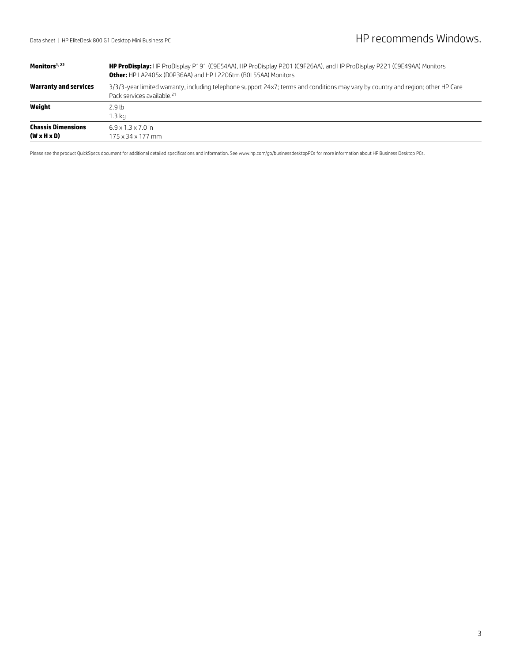| Monitors <sup>1,22</sup>                             | HP ProDisplay: HP ProDisplay P191 (C9E54AA), HP ProDisplay P201 (C9F26AA), and HP ProDisplay P221 (C9E49AA) Monitors<br><b>Other:</b> HP LA2405x (DOP36AA) and HP L2206tm (BOL55AA) Monitors |  |
|------------------------------------------------------|----------------------------------------------------------------------------------------------------------------------------------------------------------------------------------------------|--|
| Warranty and services                                | 3/3/3-year limited warranty, including telephone support 24x7; terms and conditions may vary by country and region; other HP Care<br>Pack services available. <sup>21</sup>                  |  |
| Weight                                               | 2.9 <sub>th</sub><br>1.3 ka                                                                                                                                                                  |  |
| <b>Chassis Dimensions</b><br>$(W \times H \times D)$ | $6.9 \times 1.3 \times 7.0$ in<br>175 x 34 x 177 mm                                                                                                                                          |  |

Please see the product QuickSpecs document for additional detailed specifications and information. Se[e www.hp.com/go/businessdesktopPCs](http://www.hp.com/go/businessdesktopPCs) for more information about HP Business Desktop PCs.